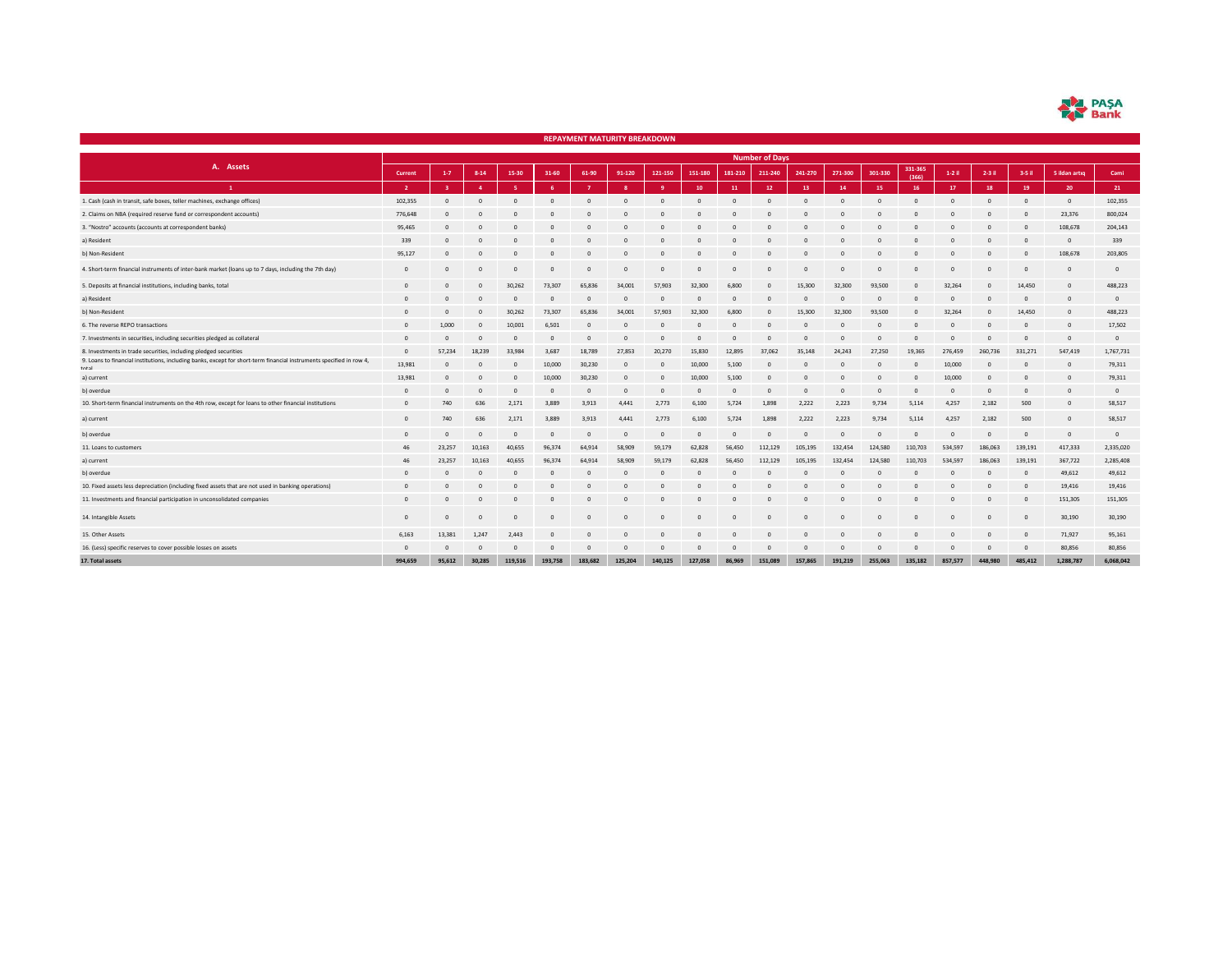| r | I PASA |
|---|--------|
|   | Bank   |

|                                                                                                                              |                |                                                                                                                                                                                 |              |              |                |          | <b>REPAYMENT MATURITY BREAKDOWN</b> |          |                |          |                       |          |              |          |            |                |                |                |                |                |
|------------------------------------------------------------------------------------------------------------------------------|----------------|---------------------------------------------------------------------------------------------------------------------------------------------------------------------------------|--------------|--------------|----------------|----------|-------------------------------------|----------|----------------|----------|-----------------------|----------|--------------|----------|------------|----------------|----------------|----------------|----------------|----------------|
|                                                                                                                              |                |                                                                                                                                                                                 |              |              |                |          |                                     |          |                |          | <b>Number of Days</b> |          |              |          |            |                |                |                |                |                |
| A. Assets                                                                                                                    | Current        | 331-365<br>301-330<br>$1-7$<br>$8 - 14$<br>15-30<br>31-60<br>61-90<br>91-120<br>121-150<br>151-180<br>181-210<br>241-270<br>271-300<br>$1-2$ il<br>$2-3$ il<br>211-240<br>(366) |              |              |                |          |                                     |          |                |          |                       |          |              |          | 3-5 il     | 5 ildən artıq  | Cami           |                |                |                |
| $\mathbf{1}$                                                                                                                 | $\overline{2}$ |                                                                                                                                                                                 | $\mathbf{A}$ | <b>R</b>     | <b>A</b>       |          | $\mathbf{R}$                        | - q      | 10             | 11       | 12                    | 13       | 14           | 15       | 16         | 17             | 18             | 19             | 20             | 21             |
| 1. Cash (cash in transit, safe boxes, teller machines, exchange offices)                                                     | 102,355        |                                                                                                                                                                                 |              |              |                |          |                                     |          |                |          |                       |          |              |          |            |                |                |                | $\Omega$       | 102,355        |
| 2. Claims on NBA (required reserve fund or correspondent accounts)                                                           | 776,648        |                                                                                                                                                                                 |              |              |                |          |                                     |          |                |          |                       |          |              |          |            |                |                | $\sqrt{2}$     | 23,376         | 800,024        |
| 3. "Nostro" accounts (accounts at correspondent banks)                                                                       | 95,465         | $\Omega$                                                                                                                                                                        | $\Omega$     | $\mathbf{0}$ | $\Omega$       |          | $\Omega$                            | $\Omega$ |                |          |                       |          | $\Omega$     | $\Omega$ |            | $\Omega$       | $\Omega$       | $\Omega$       | 108,678        | 204,143        |
| a) Resident                                                                                                                  | 339            | $\Omega$                                                                                                                                                                        |              | $\Omega$     |                |          |                                     |          |                |          |                       |          | $\Omega$     |          |            |                |                | $\sqrt{2}$     | $\circ$        | 339            |
| b) Non-Resident                                                                                                              | 95,127         |                                                                                                                                                                                 |              | $\Omega$     |                |          |                                     |          |                |          |                       |          |              |          |            |                |                |                | 108,678        | 203,805        |
| 4. Short-term financial instruments of inter-bank market (loans up to 7 days, including the 7th day)                         | $\overline{0}$ | $\Omega$                                                                                                                                                                        | $\sqrt{2}$   | $\Omega$     | $\Omega$       | $\Omega$ | $\mathbf{0}$                        | $\Omega$ | $\Omega$       |          |                       | $\Omega$ | $\mathbf{0}$ | $\Omega$ | $\sqrt{2}$ | $\mathbf{0}$   | $\Omega$       | $\Omega$       | $\overline{0}$ | $\overline{0}$ |
| 5. Deposits at financial institutions, including banks, total                                                                | $\mathbf{0}$   | $\sqrt{2}$                                                                                                                                                                      | $\circ$      | 30,262       | 73,307         | 65,836   | 34,001                              | 57,903   | 32,300         | 6,800    | $\mathbf{0}$          | 15,300   | 32,300       | 93,500   | $\Omega$   | 32,264         | $\circ$        | 14,450         | $\overline{0}$ | 488,223        |
| a) Resident                                                                                                                  | $\Omega$       |                                                                                                                                                                                 | C            | $\Omega$     | $\Omega$       | $\Omega$ | $\Omega$                            | $\Omega$ | $\Omega$       |          | $\Omega$              | $\Omega$ | $\Omega$     | $\Omega$ | $\sqrt{2}$ | $\Omega$       | n              | $\Omega$       | $\overline{0}$ | $\overline{0}$ |
| b) Non-Resident                                                                                                              | $\Omega$       |                                                                                                                                                                                 |              | 30,262       | 73,307         | 65,836   | 34,001                              | 57,903   | 32,300         | 6,800    | $\mathbf{0}$          | 15,300   | 32,300       | 93,500   | $\Omega$   | 32,264         | $\circ$        | 14,450         | $\overline{0}$ | 488,223        |
| 6. The reverse REPO transactions                                                                                             | $\Omega$       | 1,000                                                                                                                                                                           |              | 10,001       | 6,501          | $\Omega$ | $\Omega$                            | n        | $\Omega$       |          |                       |          | $\Omega$     | $\Omega$ |            | $\Omega$       | $\Omega$       | $\Omega$       | $\Omega$       | 17,502         |
| 7. Investments in securities, including securities pledged as collateral                                                     | $\overline{0}$ | $\Omega$                                                                                                                                                                        | $\Omega$     | $\mathbf{0}$ | $\circ$        | $\Omega$ | $\Omega$                            | $\Omega$ | $\Omega$       |          |                       | $\Omega$ | $\Omega$     | $\Omega$ | $\Omega$   | $\Omega$       | $\Omega$       | $\Omega$       | $\overline{0}$ | $\mathbf 0$    |
| 8. Investments in trade securities, including pledged securities                                                             | $\Omega$       | 57.234                                                                                                                                                                          | 18,239       | 33,984       | 3,687          | 18,789   | 27,853                              | 20,270   | 15,830         | 12,895   | 37,062                | 35,148   | 24,243       | 27,250   | 19,365     | 276,459        | 260,736        | 331,271        | 547,419        | 1,767,731      |
| 9. Loans to financial institutions, including banks, except for short-term financial instruments specified in row 4<br>total | 13,981         |                                                                                                                                                                                 |              | $\mathbf{0}$ | 10,000         | 30,230   | $\mathbf{0}$                        | K        | 10,000         | 5,100    | 0                     |          | $\mathbf{0}$ | $\Omega$ | $\Omega$   | 10,000         | $\Omega$       | $\Omega$       | $\circ$        | 79,311         |
| a) current                                                                                                                   | 13,981         | $\Omega$                                                                                                                                                                        | $\sqrt{2}$   | $\mathbf{0}$ | 10,000         | 30,230   | $\mathbf{0}$                        | n        | 10,000         | 5,100    |                       |          |              | $\Omega$ |            | 10,000         | $\Omega$       | $\Omega$       | $\Omega$       | 79,311         |
| b) overdue                                                                                                                   | $\Omega$       | $\Omega$                                                                                                                                                                        | $\Omega$     | $\mathbf{0}$ | $\circ$        | $\Omega$ | $\mathbf{0}$                        | - 0      | $\overline{0}$ | $\Omega$ | $\Omega$              | $\Omega$ | $\mathbf{0}$ | $\circ$  | $\Omega$   | $\overline{0}$ | $\overline{0}$ | $\overline{0}$ | $\overline{0}$ | $\overline{0}$ |
| 10. Short-term financial instruments on the 4th row, except for loans to other financial institutions                        | $\Omega$       | 740                                                                                                                                                                             | 636          | 2,171        | 3.889          | 3,913    | 4,441                               | 2,773    | 6,100          | 5,724    | 1,898                 | 2,222    | 2,223        | 9,734    | 5,114      | 4,257          | 2,182          | 500            | $\circ$        | 58,517         |
| a) current                                                                                                                   | $\Omega$       | 740                                                                                                                                                                             | 636          | 2,171        | 3,889          | 3,913    | 4,441                               | 2,773    | 6,100          | 5,724    | 1,898                 | 2,222    | 2,223        | 9,734    | 5,114      | 4,257          | 2,182          | 500            | $\overline{0}$ | 58,517         |
| b) overdue                                                                                                                   | $\circ$        | $\Omega$                                                                                                                                                                        | $\Omega$     | $\mathbf{0}$ | $\overline{0}$ | $\Omega$ | $\mathbf{0}$                        | $\Omega$ | $\circ$        |          | $\circ$               | $\Omega$ | $\mathbf{0}$ | $\circ$  | $\sqrt{2}$ | $\mathbf{0}$   | $\Omega$       | $\Omega$       | $\circ$        | $\mathbf{0}$   |
| 11. Loans to customers                                                                                                       | 46             | 23,257                                                                                                                                                                          | 10,163       | 40,655       | 96,374         | 64,914   | 58,909                              | 59,179   | 62,828         | 56,450   | 112,129               | 105,195  | 132,454      | 124,580  | 110,703    | 534,597        | 186,063        | 139,191        | 417,333        | 2,335,020      |
| a) current                                                                                                                   | 46             | 23,257                                                                                                                                                                          | 10,163       | 40,655       | 96,374         | 64,914   | 58,909                              | 59,179   | 62,828         | 56,450   | 112,129               | 105,195  | 132,454      | 124,580  | 110,703    | 534,597        | 186,063        | 139,191        | 367,722        | 2,285,408      |
| b) overdue                                                                                                                   | $\Omega$       | $\Omega$                                                                                                                                                                        | $\sqrt{2}$   | $\Omega$     | $\Omega$       | $\Omega$ | $\Omega$                            | $\Omega$ | $\Omega$       |          | $\Omega$              | $\Omega$ | $\Omega$     | $\Omega$ | $\Omega$   | $\Omega$       | $\Omega$       | $\Omega$       | 49,612         | 49,612         |
| 10. Fixed assets less depreciation (including fixed assets that are not used in banking operations)                          | $\Omega$       |                                                                                                                                                                                 |              | 0            | $\Omega$       |          |                                     |          |                |          |                       |          |              |          |            |                |                | $\sqrt{2}$     | 19,416         | 19,416         |
| 11. Investments and financial participation in unconsolidated companies                                                      | $\Omega$       |                                                                                                                                                                                 |              |              |                |          |                                     |          |                |          |                       |          |              |          |            |                |                | $\Omega$       | 151,305        | 151,305        |
| 14. Intangible Assets                                                                                                        | $\Omega$       | $\circ$                                                                                                                                                                         | $\Omega$     | $\mathbf{0}$ | $\Omega$       | $\Omega$ | $\mathbf{0}$                        | $\Omega$ | $\Omega$       | $\Omega$ | $\Omega$              | $\Omega$ | $\Omega$     | $\circ$  | $\Omega$   | $\mathbf{0}$   | $\Omega$       | $\Omega$       | 30,190         | 30,190         |
| 15. Other Assets                                                                                                             | 6,163          | 13,381                                                                                                                                                                          | 1,247        | 2,443        | $\Omega$       |          | $\Omega$                            |          |                |          |                       |          | $\Omega$     | $\Omega$ |            | $\Omega$       | $\Omega$       | $\Omega$       | 71,927         | 95,161         |
| 16. (Less) specific reserves to cover possible losses on assets                                                              | $\Omega$       | $\Omega$                                                                                                                                                                        | $\Omega$     | $\mathbf{0}$ | $\Omega$       | $\Omega$ | $\Omega$                            | n        | $\Omega$       |          | -0                    | $\Omega$ | $\Omega$     | $\circ$  | $\Omega$   | $\Omega$       | $\Omega$       | $\Omega$       | 80,856         | 80,856         |
| 17. Total assets                                                                                                             | 994,659        | 95,612                                                                                                                                                                          | 30,285       | 119,516      | 193,758        | 183,682  | 125,204                             | 140,125  | 127,058        | 86,969   | 151,089               | 157.865  | 191,219      | 255,063  | 135,182    | 857.577        | 448,980        | 485,412        | 1.288.787      | 6.068.042      |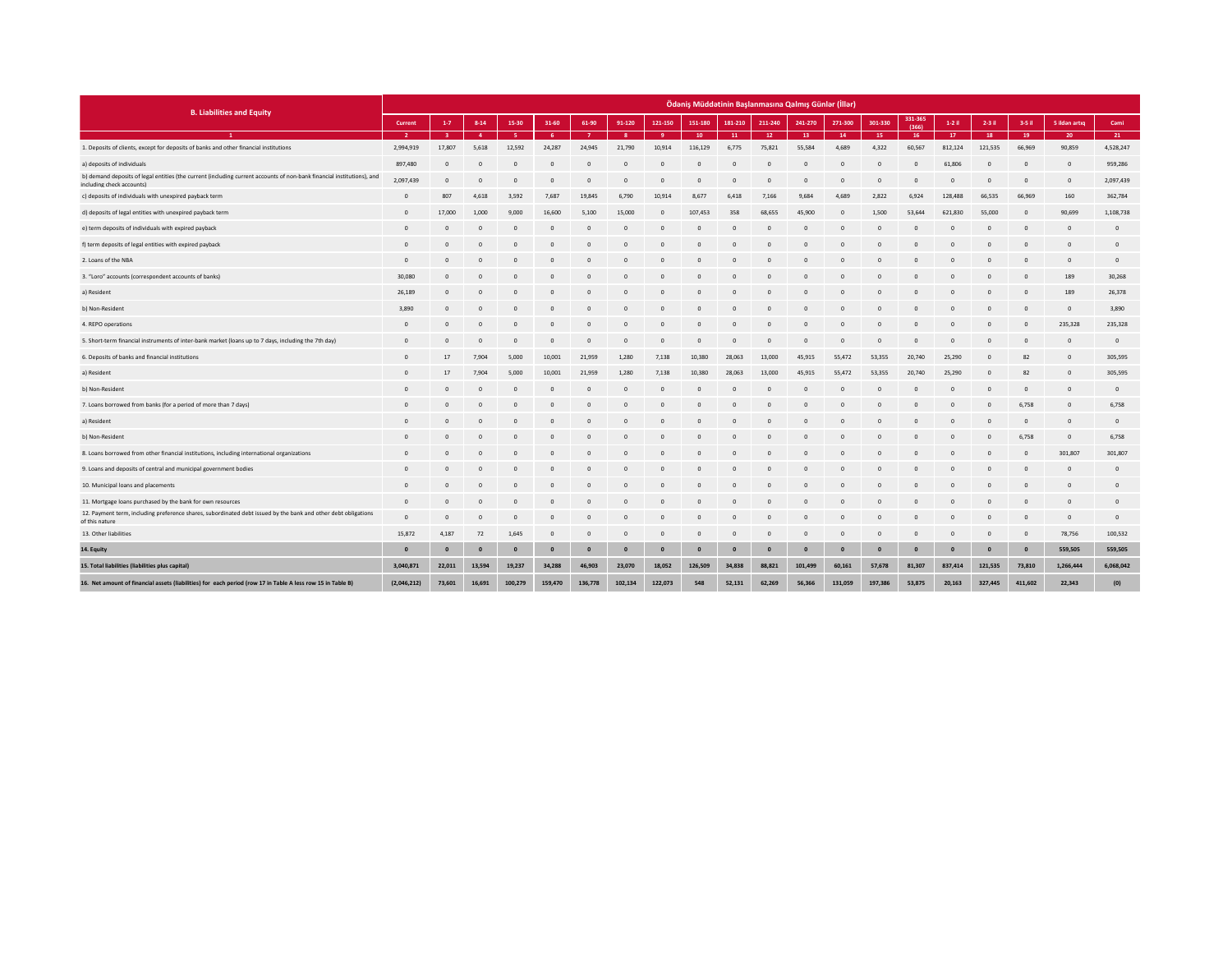|                                                                                                                                                     |                |              |                |                |              |              |              |              |              |              |                | Ödəniş Müddətinin Başlanmasına Qalmış Günlər (İllər) |              |              |                  |              |                |                |                |                |
|-----------------------------------------------------------------------------------------------------------------------------------------------------|----------------|--------------|----------------|----------------|--------------|--------------|--------------|--------------|--------------|--------------|----------------|------------------------------------------------------|--------------|--------------|------------------|--------------|----------------|----------------|----------------|----------------|
| <b>B. Liabilities and Equity</b>                                                                                                                    | Current        | $1-7$        | $8 - 14$       | 15-30          | 31-60        | 61-90        | 91-120       | 121-150      | 151-180      | 181-210      | 211-240        | 241-270                                              | 271-300      | 301-330      | 331-365<br>(366) | $1-2$ il     | 2-3 il         | $3-5$ il       | 5 ildən artıq  | Cami           |
|                                                                                                                                                     | $\overline{2}$ |              | $\mathbf{a}$   | -5             | -6           |              | -8           |              | 10           | 11           | 12             | 13                                                   | 14           | 15           | 16               | 17           | 18             | 19             | 20             | 21             |
| 1. Deposits of clients, except for deposits of banks and other financial institutions                                                               | 2,994,919      | 17.807       | 5.618          | 12,592         | 24,287       | 24,945       | 21,790       | 10,914       | 116,129      | 6,775        | 75,821         | 55,584                                               | 4.689        | 4,322        | 60,567           | 812,124      | 121,535        | 66,969         | 90,859         | 4,528,247      |
| a) deposits of individuals                                                                                                                          | 897,480        | $\Omega$     | $\Omega$       | $\Omega$       | $\sqrt{2}$   | $\Omega$     | $\circ$      | $\Omega$     | $\Omega$     | $\Omega$     | $\overline{0}$ | $\circ$                                              | $\sqrt{2}$   | $\mathbf{0}$ | $\Omega$         | 61,806       | $\overline{0}$ | $\overline{0}$ | $\circ$        | 959,286        |
| b) demand deposits of legal entities (the current (including current accounts of non-bank financial institutions), and<br>including check accounts) | 2,097,439      | $\Omega$     | $\Omega$       | $\sqrt{ }$     | $\Omega$     | n            | $\Omega$     | $\Omega$     | $\Omega$     | $\Omega$     | $\Omega$       | $\Omega$                                             |              | $\Omega$     | $\Omega$         | $\Omega$     | $\Omega$       | $\Omega$       | $\overline{0}$ | 2,097,439      |
| c) deposits of individuals with unexpired payback term                                                                                              | $\circ$        | 807          | 4,618          | 3,592          | 7,687        | 19,845       | 6,790        | 10,914       | 8,677        | 6,418        | 7,166          | 9,684                                                | 4,689        | 2,822        | 6,924            | 128,488      | 66,535         | 66,969         | 160            | 362,784        |
| d) deposits of legal entities with unexpired payback term                                                                                           | $\Omega$       | 17,000       | 1,000          | 9,000          | 16,600       | 5,100        | 15,000       | $\Omega$     | 107,453      | 358          | 68,655         | 45,900                                               | - 0          | 1,500        | 53,644           | 621,830      | 55,000         | $\overline{0}$ | 90,699         | 1,108,738      |
| e) term deposits of individuals with expired payback                                                                                                | $\mathbf{0}$   |              | $\circ$        | C              |              |              | $\circ$      |              |              |              | $\mathbf{0}$   | $\circ$                                              |              |              | C                |              | $\circ$        | $\epsilon$     | O              | $\circ$        |
| f) term deposits of legal entities with expired payback                                                                                             | $\Omega$       | n            | $\Omega$       | $\Omega$       | $\sqrt{2}$   | n            | $\Omega$     | $\sqrt{2}$   | $\Omega$     | $\Omega$     | $\Omega$       | $\Omega$                                             |              | $\Omega$     | $\Omega$         | $\Omega$     | $\Omega$       | $\Omega$       | $\overline{0}$ | $\circ$        |
| 2. Loans of the NBA                                                                                                                                 | $\Omega$       |              | $\sqrt{ }$     | $\sqrt{2}$     |              |              | $\Omega$     |              | $\Omega$     |              |                | $\Omega$                                             |              |              | $\sqrt{2}$       |              | $\Omega$       | $\sqrt{ }$     | O              | $\circ$        |
| 3. "Loro" accounts (correspondent accounts of banks)                                                                                                | 30,080         | $\Omega$     | $\Omega$       | $\sqrt{2}$     |              | n            | $\Omega$     |              | $\Omega$     | $\Omega$     | $\Omega$       | $\Omega$                                             |              | $\Omega$     | $\Omega$         |              | $\Omega$       | $\Omega$       | 189            | 30,268         |
| a) Resident                                                                                                                                         | 26,189         | $\Omega$     | $\Omega$       | $\Omega$       |              | n            | $\Omega$     | $\Omega$     | $\Omega$     | $\Omega$     | $\Omega$       | $\Omega$                                             |              | $\Omega$     | $\Omega$         |              | $\Omega$       | $\Omega$       | 189            | 26,378         |
| b) Non-Resident                                                                                                                                     | 3,890          |              |                |                |              |              |              |              |              |              |                |                                                      |              |              |                  |              |                |                | $\circ$        | 3,890          |
| 4. REPO operations                                                                                                                                  | $\circ$        | $\Omega$     | $\Omega$       | $\Omega$       | $\sqrt{2}$   | $\Omega$     | $\Omega$     | $\Omega$     | $\Omega$     | $\Omega$     | $\Omega$       | $\Omega$                                             |              | $\Omega$     | $\Omega$         | $\Omega$     | $\Omega$       | $\Omega$       | 235,328        | 235,328        |
| 5. Short-term financial instruments of inter-bank market (loans up to 7 days, including the 7th day)                                                | $\Omega$       |              | $\Omega$       | C              |              | n            | $\circ$      |              | $\Omega$     | $\Omega$     | $\Omega$       | $\mathbf{0}$                                         |              | $\circ$      | $\circ$          | $\Omega$     | $\Omega$       | $\sqrt{ }$     | $\overline{0}$ | $\overline{0}$ |
| 6. Deposits of banks and financial institutions                                                                                                     | $\Omega$       | 17           | 7,904          | 5,000          | 10,001       | 21,959       | 1,280        | 7,138        | 10,380       | 28,063       | 13,000         | 45,915                                               | 55,472       | 53,355       | 20,740           | 25,290       | $\mathbf{0}$   | 82             | $\overline{0}$ | 305,595        |
| a) Resident                                                                                                                                         | $\Omega$       | 17           | 7,904          | 5,000          | 10,001       | 21,959       | 1,280        | 7,138        | 10,380       | 28,063       | 13,000         | 45,915                                               | 55,472       | 53,355       | 20,740           | 25,290       | $\Omega$       | 82             | $\sqrt{ }$     | 305,595        |
| b) Non-Resident                                                                                                                                     | $\Omega$       |              | $\Omega$       | $\sqrt{ }$     |              |              | $\circ$      |              | $\Omega$     | $\Omega$     | $\Omega$       | $\mathbf{0}$                                         |              | $\Omega$     | $\sqrt{2}$       | $\Omega$     | $\Omega$       | $\Omega$       | $\Omega$       | $\circ$        |
| 7. Loans borrowed from banks (for a period of more than 7 days)                                                                                     | $\Omega$       | $\Omega$     | $\Omega$       | $\Omega$       | $\Omega$     | $\Omega$     | $\Omega$     | $\Omega$     | $\Omega$     | $\Omega$     | $\Omega$       | $\Omega$                                             | - 0          | $\Omega$     | $\Omega$         | $\Omega$     | $\Omega$       | 6,758          | $\circ$        | 6,758          |
| a) Resident                                                                                                                                         | $\Omega$       |              | $\Omega$       | $\sqrt{2}$     |              |              | $\Omega$     |              | $\Omega$     | $\Omega$     |                | $\Omega$                                             |              |              | $\sqrt{2}$       |              | $\Omega$       | $\Omega$       | $\Omega$       | $\Omega$       |
| b) Non-Resident                                                                                                                                     | $^{\circ}$     | $\Omega$     | $\Omega$       | $\overline{0}$ | $\sqrt{2}$   | $\Omega$     | $\Omega$     | $\Omega$     | $\Omega$     | $\Omega$     | $\Omega$       | $\mathbf{0}$                                         |              | $\Omega$     | $\circ$          |              | $\mathbf{0}$   | 6,758          | $\circ$        | 6,758          |
| 8. Loans borrowed from other financial institutions, including international organizations                                                          | $\Omega$       |              | -C             | $\Omega$       |              | n            | $\Omega$     | $\Omega$     | $\Omega$     |              | $\Omega$       | $\Omega$                                             |              | $\Omega$     | $\sqrt{2}$       |              | $\Omega$       | $\Omega$       | 301,807        | 301,807        |
| 9. Loans and deposits of central and municipal government bodies                                                                                    |                |              |                |                |              |              | n            |              |              |              |                |                                                      |              |              |                  |              |                |                | O              | $\circ$        |
| 10. Municipal loans and placements                                                                                                                  | $\Omega$       | $\Omega$     | $\Omega$       | $\Omega$       | $\Omega$     | n            | $\Omega$     | $\Omega$     | $\Omega$     | $\Omega$     | $\Omega$       | $\Omega$                                             |              | $\Omega$     | $\Omega$         | $\Omega$     | $\Omega$       | $\Omega$       | $\overline{0}$ | $\mathbf{0}$   |
| 11. Mortgage loans purchased by the bank for own resources                                                                                          | $\circ$        | $\Omega$     | $\circ$        | $\overline{0}$ |              | n            | $\mathbf{0}$ |              | $\Omega$     |              | $\Omega$       | $\circ$                                              |              | $\mathbf{0}$ | C                |              | $\Omega$       | $\mathbf{C}$   | $\overline{0}$ | $\circ$        |
| 12. Payment term, including preference shares, subordinated debt issued by the bank and other debt obligations<br>of this nature                    | $\circ$        | $\mathbf 0$  | $\overline{0}$ | $\overline{0}$ | $\Omega$     | $\circ$      | $\mathbf{0}$ | $\Omega$     | $\mathbf{0}$ | $\Omega$     | $\mathbf{0}$   | $\mathbf{0}$                                         |              | $\mathbf{0}$ | $\circ$          |              | $\circ$        | $\overline{0}$ | $\circ$        | $\overline{0}$ |
| 13. Other liabilities                                                                                                                               | 15,872         | 4,187        | 72             | 1,645          | $\Omega$     | n            | $\mathbf{0}$ | $\Omega$     | $\mathbf{0}$ | $\Omega$     | $\mathbf{0}$   | $\mathbf{0}$                                         |              | $\mathbf{0}$ | $\overline{0}$   | $\Omega$     | $\mathbf{0}$   | $\circ$        | 78,756         | 100,532        |
| 14. Equity                                                                                                                                          | $\mathbf{0}$   | $\mathbf{0}$ | $\mathbf{0}$   | $\mathbf{0}$   | $\mathbf{0}$ | $\mathbf{0}$ | $\mathbf{0}$ | $\mathbf{0}$ | $\mathbf{0}$ | $\mathbf{0}$ | $\mathbf{0}$   | $\mathbf{0}$                                         | $\mathbf{0}$ | $\mathbf{0}$ | $\mathbf{0}$     | $\mathbf{0}$ | $\mathbf{0}$   | $\mathbf{0}$   | 559,505        | 559,505        |
| 15. Total liabilities (liabilities plus capital)                                                                                                    | 3,040,871      | 22,011       | 13,594         | 19,237         | 34,288       | 46,903       | 23,070       | 18,052       | 126,509      | 34,838       | 88,821         | 101,499                                              | 60,161       | 57,678       | 81,307           | 837,414      | 121,535        | 73,810         | 1,266,444      | 6,068,042      |
| 16. Net amount of financial assets (liabilities) for each period (row 17 in Table A less row 15 in Table B)                                         | (2,046,212)    | 73,601       | 16,691         | 100,279        | 159,470      | 136,778      | 102,134      | 122,073      | 548          | 52,131       | 62,269         | 56,366                                               | 131,059      | 197,386      | 53,875           | 20,163       | 327,445        | 411,602        | 22,343         | (0)            |